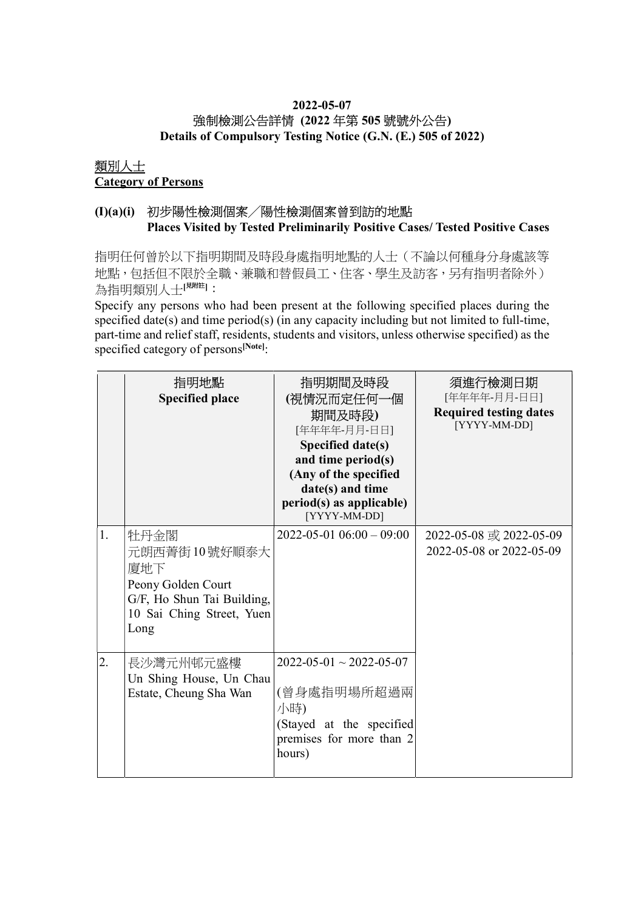# 2022-05-07 強制檢測公告詳情 (2022 年第 505 號號外公告)

Details of Compulsory Testing Notice (G.N. (E.) 505 of 2022)

#### 類別人士 Category of Persons

## (I)(a)(i) 初步陽性檢測個案╱陽性檢測個案曾到訪的地點 Places Visited by Tested Preliminarily Positive Cases/ Tested Positive Cases

指明任何曾於以下指明期間及時段身處指明地點的人士(不論以何種身分身處該等 地點,包括但不限於全職、兼職和替假員工、住客、學生及訪客,另有指明者除外) 為指明類別人士[思詳]:

Specify any persons who had been present at the following specified places during the specified date(s) and time period(s) (in any capacity including but not limited to full-time, part-time and relief staff, residents, students and visitors, unless otherwise specified) as the specified category of persons<sup>[Note]</sup>:

|    | 指明地點<br><b>Specified place</b>                                                                                       | 指明期間及時段<br>(視情況而定任何一個<br>期間及時段)<br>[年年年年-月月-日日]<br>Specified date(s)<br>and time period(s)<br>(Any of the specified<br>date(s) and time<br>period(s) as applicable)<br>[YYYY-MM-DD] | 須進行檢測日期<br>[年年年年-月月-日日]<br><b>Required testing dates</b><br>[YYYY-MM-DD] |
|----|----------------------------------------------------------------------------------------------------------------------|-------------------------------------------------------------------------------------------------------------------------------------------------------------------------------------|--------------------------------------------------------------------------|
| 1. | 牡丹金閣<br>元朗西菁街10號好順泰大<br>廈地下<br>Peony Golden Court<br>G/F, Ho Shun Tai Building,<br>10 Sai Ching Street, Yuen<br>Long | $2022 - 05 - 01$ $06:00 - 09:00$                                                                                                                                                    | 2022-05-08 或 2022-05-09<br>2022-05-08 or 2022-05-09                      |
| 2. | 長沙灣元州邨元盛樓<br>Un Shing House, Un Chau<br>Estate, Cheung Sha Wan                                                       | $2022 - 05 - 01 \sim 2022 - 05 - 07$<br>(曾身處指明場所超過兩<br>小時)<br>(Stayed at the specified<br>premises for more than 2<br>hours)                                                        |                                                                          |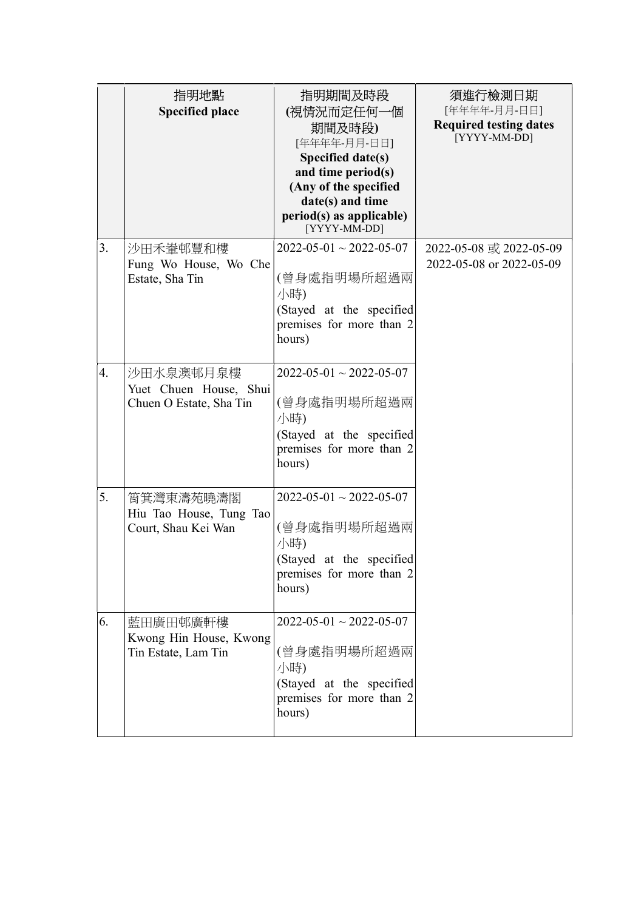|    | 指明地點<br><b>Specified place</b>                                 | 指明期間及時段<br>(視情況而定任何一個<br>期間及時段)<br>[年年年年-月月-日日]<br>Specified date(s)<br>and time period(s)<br>(Any of the specified<br>date(s) and time<br>period(s) as applicable)<br>[YYYY-MM-DD] | 須進行檢測日期<br>[年年年年-月月-日日]<br><b>Required testing dates</b><br>[YYYY-MM-DD] |
|----|----------------------------------------------------------------|-------------------------------------------------------------------------------------------------------------------------------------------------------------------------------------|--------------------------------------------------------------------------|
| 3. | 沙田禾輋邨豐和樓<br>Fung Wo House, Wo Che<br>Estate, Sha Tin           | $2022 - 05 - 01 \sim 2022 - 05 - 07$<br>(曾身處指明場所超過兩<br>小時)<br>(Stayed at the specified<br>premises for more than 2<br>hours)                                                        | 2022-05-08 或 2022-05-09<br>2022-05-08 or 2022-05-09                      |
| 4. | 沙田水泉澳邨月泉樓<br>Yuet Chuen House, Shui<br>Chuen O Estate, Sha Tin | $2022 - 05 - 01 \sim 2022 - 05 - 07$<br>(曾身處指明場所超過兩<br>小時)<br>(Stayed at the specified<br>premises for more than 2<br>hours)                                                        |                                                                          |
| 5. | 筲箕灣東濤苑曉濤閣<br>Hiu Tao House, Tung Tao<br>Court, Shau Kei Wan    | $2022 - 05 - 01 \sim 2022 - 05 - 07$<br>(曾身處指明場所超過兩<br>小時)<br>(Stayed at the specified<br>premises for more than 2<br>hours)                                                        |                                                                          |
| 6. | 藍田廣田邨廣軒樓<br>Kwong Hin House, Kwong<br>Tin Estate, Lam Tin      | $2022 - 05 - 01 \sim 2022 - 05 - 07$<br>(曾身處指明場所超過兩<br>小時)<br>(Stayed at the specified<br>premises for more than 2<br>hours)                                                        |                                                                          |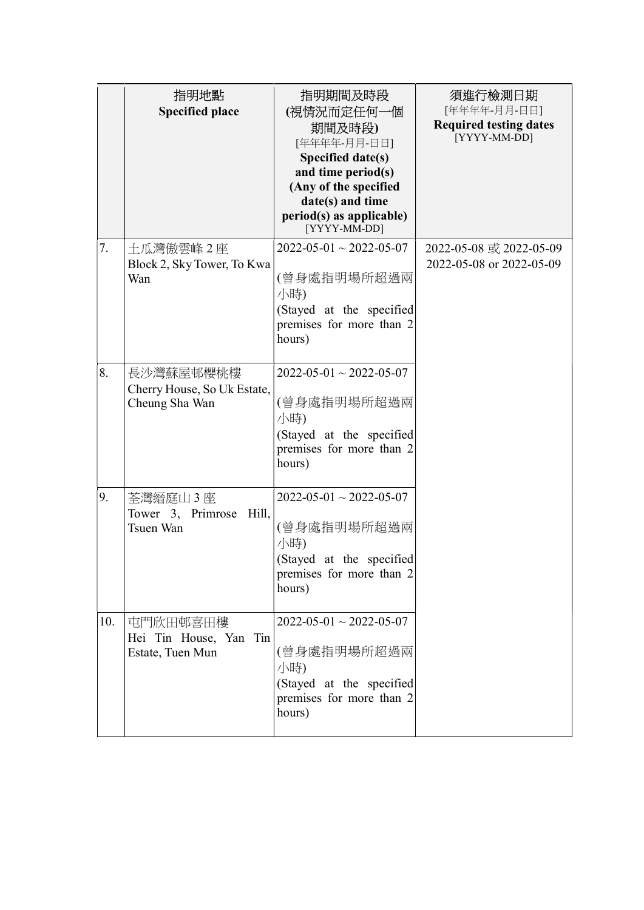|     | 指明地點<br><b>Specified place</b>                             | 指明期間及時段<br>(視情況而定任何一個<br>期間及時段)<br>[年年年年-月月-日日]<br>Specified date(s)<br>and time period(s)<br>(Any of the specified<br>date(s) and time<br>period(s) as applicable)<br>[YYYY-MM-DD] | 須進行檢測日期<br>[年年年年-月月-日日]<br><b>Required testing dates</b><br>[YYYY-MM-DD] |
|-----|------------------------------------------------------------|-------------------------------------------------------------------------------------------------------------------------------------------------------------------------------------|--------------------------------------------------------------------------|
| 7.  | 土瓜灣傲雲峰2座<br>Block 2, Sky Tower, To Kwa<br>Wan              | $2022 - 05 - 01 \sim 2022 - 05 - 07$<br>(曾身處指明場所超過兩<br>小時)<br>(Stayed at the specified<br>premises for more than 2<br>hours)                                                        | 2022-05-08 或 2022-05-09<br>2022-05-08 or 2022-05-09                      |
| 8.  | 長沙灣蘇屋邨櫻桃樓<br>Cherry House, So Uk Estate,<br>Cheung Sha Wan | $2022 - 05 - 01 \sim 2022 - 05 - 07$<br>(曾身處指明場所超過兩<br>小時)<br>(Stayed at the specified<br>premises for more than 2<br>hours)                                                        |                                                                          |
| 9.  | 荃灣縉庭山3座<br>Tower 3, Primrose Hill,<br>Tsuen Wan            | $2022 - 05 - 01 \sim 2022 - 05 - 07$<br>(曾身處指明場所超過兩<br>小時)<br>(Stayed at the specified<br>premises for more than 2<br>hours)                                                        |                                                                          |
| 10. | 屯門欣田邨喜田樓<br>Hei Tin House, Yan Tin<br>Estate, Tuen Mun     | $2022 - 05 - 01 \sim 2022 - 05 - 07$<br>(曾身處指明場所超過兩<br>小時)<br>(Stayed at the specified<br>premises for more than 2<br>hours)                                                        |                                                                          |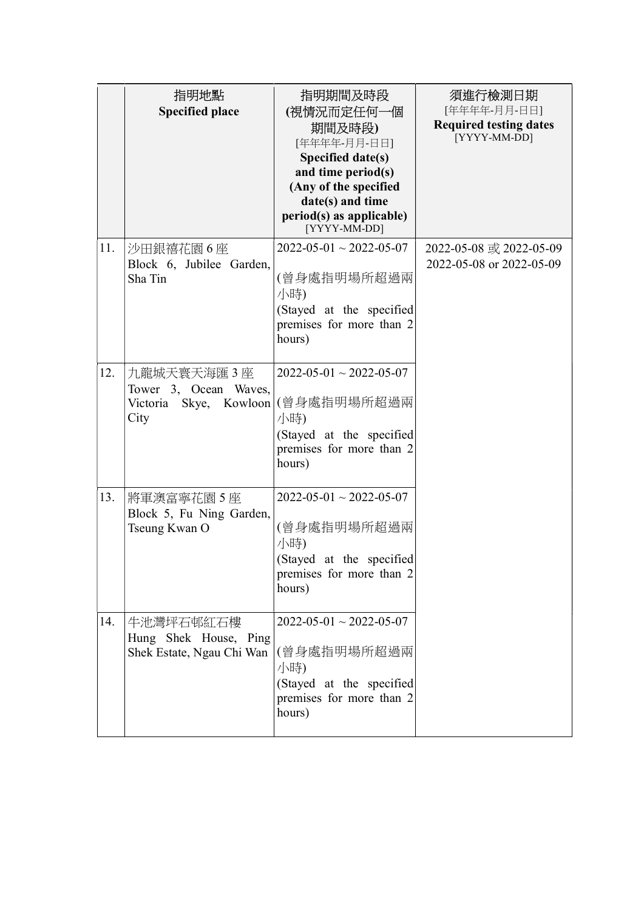|     | 指明地點<br><b>Specified place</b>                                             | 指明期間及時段<br>(視情況而定任何一個<br>期間及時段)<br>[年年年年-月月-日日]<br>Specified date(s)<br>and time period(s)<br>(Any of the specified<br>date(s) and time<br>period(s) as applicable)<br>[YYYY-MM-DD] | 須進行檢測日期<br>[年年年年-月月-日日]<br><b>Required testing dates</b><br>[YYYY-MM-DD] |
|-----|----------------------------------------------------------------------------|-------------------------------------------------------------------------------------------------------------------------------------------------------------------------------------|--------------------------------------------------------------------------|
| 11. | 沙田銀禧花園6座<br>Block 6, Jubilee Garden,<br>Sha Tin                            | $2022 - 05 - 01 \sim 2022 - 05 - 07$<br>(曾身處指明場所超過兩<br>小時)<br>(Stayed at the specified<br>premises for more than 2<br>hours)                                                        | 2022-05-08 或 2022-05-09<br>2022-05-08 or 2022-05-09                      |
| 12. | 九龍城天寰天海匯 3 座<br>Tower 3, Ocean Waves,<br>Skye, Kowloon<br>Victoria<br>City | $2022 - 05 - 01 \sim 2022 - 05 - 07$<br>(曾身處指明場所超過兩<br>小時)<br>(Stayed at the specified<br>premises for more than 2<br>hours)                                                        |                                                                          |
| 13. | 將軍澳富寧花園5座<br>Block 5, Fu Ning Garden,<br>Tseung Kwan O                     | $2022 - 05 - 01 \sim 2022 - 05 - 07$<br>(曾身處指明場所超過兩<br>小時)<br>(Stayed at the specified<br>premises for more than 2<br>hours)                                                        |                                                                          |
| 14. | 牛池灣坪石邨紅石樓<br>Hung Shek House, Ping<br>Shek Estate, Ngau Chi Wan            | $2022 - 05 - 01 \sim 2022 - 05 - 07$<br>(曾身處指明場所超過兩<br>小時)<br>(Stayed at the specified<br>premises for more than 2<br>hours)                                                        |                                                                          |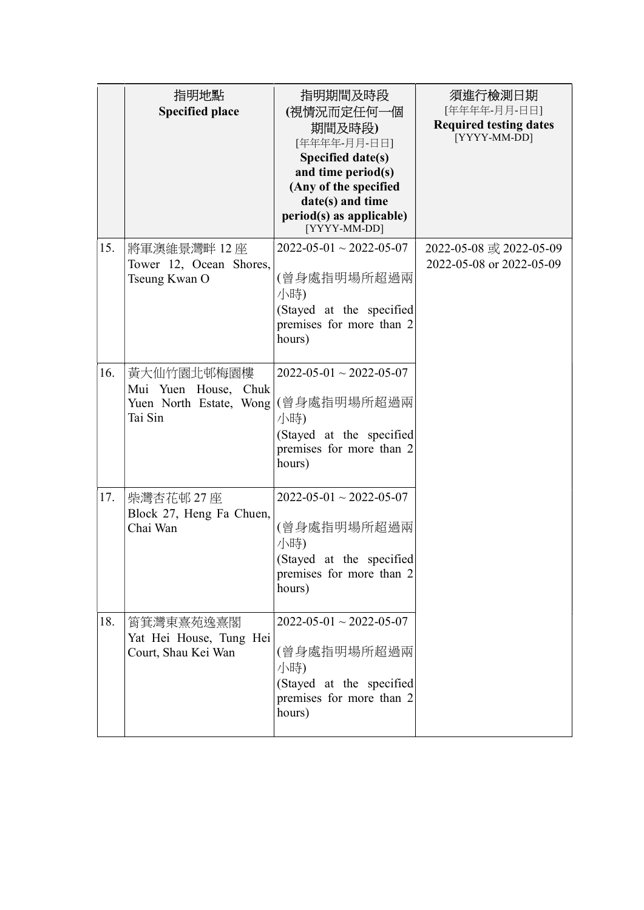|     | 指明地點<br><b>Specified place</b>                                           | 指明期間及時段<br>(視情況而定任何一個<br>期間及時段)<br>[年年年年-月月-日日]<br>Specified date(s)<br>and time period(s)<br>(Any of the specified<br>date(s) and time<br>period(s) as applicable)<br>[YYYY-MM-DD] | 須進行檢測日期<br>[年年年年-月月-日日]<br><b>Required testing dates</b><br>[YYYY-MM-DD] |
|-----|--------------------------------------------------------------------------|-------------------------------------------------------------------------------------------------------------------------------------------------------------------------------------|--------------------------------------------------------------------------|
| 15. | 將軍澳維景灣畔 12 座<br>Tower 12, Ocean Shores,<br>Tseung Kwan O                 | $2022 - 05 - 01 \sim 2022 - 05 - 07$<br>(曾身處指明場所超過兩<br>小時)<br>(Stayed at the specified<br>premises for more than 2<br>hours)                                                        | 2022-05-08 或 2022-05-09<br>2022-05-08 or 2022-05-09                      |
| 16. | 黃大仙竹園北邨梅園樓<br>Mui Yuen House, Chuk<br>Yuen North Estate, Wong<br>Tai Sin | $2022 - 05 - 01 \sim 2022 - 05 - 07$<br>(曾身處指明場所超過兩<br>小時)<br>(Stayed at the specified<br>premises for more than 2<br>hours)                                                        |                                                                          |
| 17. | 柴灣杏花邨 27 座<br>Block 27, Heng Fa Chuen,<br>Chai Wan                       | $2022 - 05 - 01 \sim 2022 - 05 - 07$<br>(曾身處指明場所超過兩<br>小時)<br>(Stayed at the specified<br>premises for more than 2<br>hours)                                                        |                                                                          |
| 18. | 筲箕灣東熹苑逸熹閣<br>Yat Hei House, Tung Hei<br>Court, Shau Kei Wan              | $2022 - 05 - 01 \sim 2022 - 05 - 07$<br>(曾身處指明場所超過兩<br>小時)<br>(Stayed at the specified<br>premises for more than 2<br>hours)                                                        |                                                                          |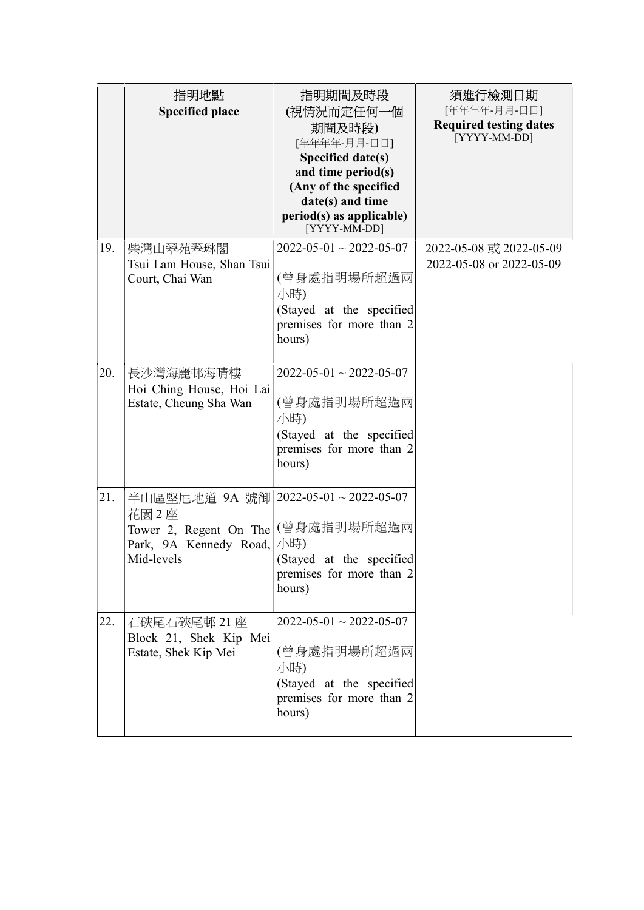|     | 指明地點<br><b>Specified place</b>                                                                                 | 指明期間及時段<br>(視情況而定任何一個<br>期間及時段)<br>[年年年年-月月-日日]<br>Specified date(s)<br>and time period(s)<br>(Any of the specified<br>date(s) and time<br>period(s) as applicable)<br>[YYYY-MM-DD] | 須進行檢測日期<br>[年年年年-月月-日日]<br><b>Required testing dates</b><br>[YYYY-MM-DD] |
|-----|----------------------------------------------------------------------------------------------------------------|-------------------------------------------------------------------------------------------------------------------------------------------------------------------------------------|--------------------------------------------------------------------------|
| 19. | 柴灣山翠苑翠琳閣<br>Tsui Lam House, Shan Tsui<br>Court, Chai Wan                                                       | $2022 - 05 - 01 \sim 2022 - 05 - 07$<br>(曾身處指明場所超過兩<br>小時)<br>(Stayed at the specified<br>premises for more than 2<br>hours)                                                        | 2022-05-08 或 2022-05-09<br>2022-05-08 or 2022-05-09                      |
| 20. | 長沙灣海麗邨海晴樓<br>Hoi Ching House, Hoi Lai<br>Estate, Cheung Sha Wan                                                | $2022 - 05 - 01 \sim 2022 - 05 - 07$<br>(曾身處指明場所超過兩<br>小時)<br>(Stayed at the specified<br>premises for more than 2<br>hours)                                                        |                                                                          |
| 21. | 半山區堅尼地道 9A 號御 2022-05-01~2022-05-07<br>花園 2座<br>Tower 2, Regent On The<br>Park, 9A Kennedy Road,<br>Mid-levels | (曾身處指明場所超過兩<br>小時)<br>(Stayed at the specified<br>premises for more than 2<br>hours)                                                                                                |                                                                          |
| 22. | 石硤尾石硤尾邨 21座<br>Block 21, Shek Kip Mei<br>Estate, Shek Kip Mei                                                  | $2022 - 05 - 01 \sim 2022 - 05 - 07$<br>(曾身處指明場所超過兩<br>小時)<br>(Stayed at the specified<br>premises for more than 2<br>hours)                                                        |                                                                          |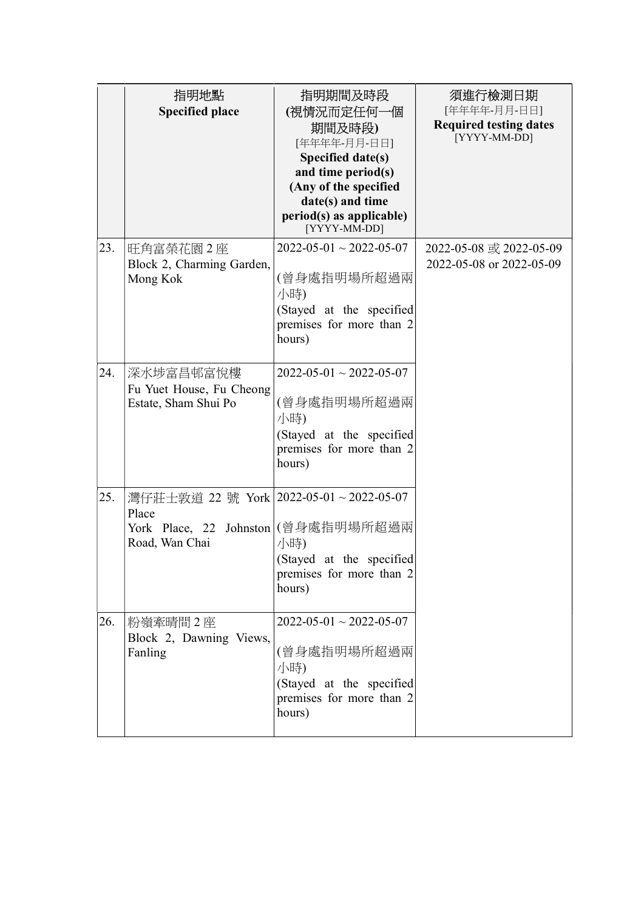|     | 指明地點<br><b>Specified place</b>                                                                               | 指明期間及時段<br>(視情況而定任何一個<br>期間及時段)<br>[年年年年-月月-日日]<br>Specified date(s)<br>and time period(s)<br>(Any of the specified<br>date(s) and time<br>period(s) as applicable)<br>[YYYY-MM-DD] | 須進行檢測日期<br>[年年年年-月月-日日]<br><b>Required testing dates</b><br>[YYYY-MM-DD] |
|-----|--------------------------------------------------------------------------------------------------------------|-------------------------------------------------------------------------------------------------------------------------------------------------------------------------------------|--------------------------------------------------------------------------|
| 23. | 旺角富榮花園2座<br>Block 2, Charming Garden,<br>Mong Kok                                                            | $2022 - 05 - 01 \sim 2022 - 05 - 07$<br>(曾身處指明場所超過兩<br>小時)<br>(Stayed at the specified<br>premises for more than 2<br>hours)                                                        | 2022-05-08 或 2022-05-09<br>2022-05-08 or 2022-05-09                      |
| 24. | 深水埗富昌邨富悅樓<br>Fu Yuet House, Fu Cheong<br>Estate, Sham Shui Po                                                | $2022 - 05 - 01 \sim 2022 - 05 - 07$<br>(曾身處指明場所超過兩<br>小時)<br>(Stayed at the specified<br>premises for more than 2<br>hours)                                                        |                                                                          |
| 25. | 灣仔莊士敦道 22 號 York   2022-05-01 ~ 2022-05-07<br>Place<br>York Place, 22 Johnston (曾身處指明場所超過兩<br>Road, Wan Chai | 小時)<br>(Stayed at the specified<br>premises for more than 2<br>hours)                                                                                                               |                                                                          |
| 26. | 粉嶺牽晴間2座<br>Block 2, Dawning Views,<br>Fanling                                                                | $2022 - 05 - 01 \sim 2022 - 05 - 07$<br>(曾身處指明場所超過兩<br>小時)<br>(Stayed at the specified<br>premises for more than 2<br>hours)                                                        |                                                                          |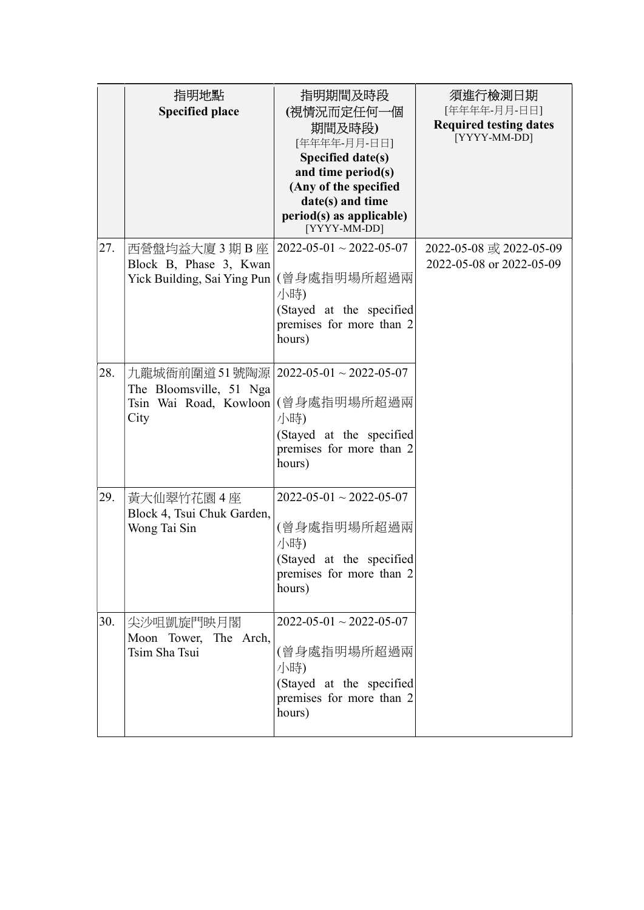|     | 指明地點<br><b>Specified place</b>                                                         | 指明期間及時段<br>(視情況而定任何一個<br>期間及時段)<br>[年年年年-月月-日日]<br>Specified date(s)<br>and time period(s)<br>(Any of the specified<br>date(s) and time<br>period(s) as applicable)<br>[YYYY-MM-DD] | 須進行檢測日期<br>[年年年年-月月-日日]<br><b>Required testing dates</b><br>[YYYY-MM-DD] |
|-----|----------------------------------------------------------------------------------------|-------------------------------------------------------------------------------------------------------------------------------------------------------------------------------------|--------------------------------------------------------------------------|
| 27. | 西營盤均益大廈 3 期 B 座<br>Block B, Phase 3, Kwan<br>Yick Building, Sai Ying Pun               | $2022 - 05 - 01 \sim 2022 - 05 - 07$<br>(曾身處指明場所超過兩<br>小時)<br>(Stayed at the specified<br>premises for more than 2<br>hours)                                                        | 2022-05-08 或 2022-05-09<br>2022-05-08 or 2022-05-09                      |
| 28. | 九龍城衙前圍道51號陶源 <br>The Bloomsville, 51 Nga<br>Tsin Wai Road, Kowloon (曾身處指明場所超過兩<br>City | $2022 - 05 - 01 \sim 2022 - 05 - 07$<br>小時)<br>(Stayed at the specified<br>premises for more than 2<br>hours)                                                                       |                                                                          |
| 29. | 黃大仙翠竹花園4座<br>Block 4, Tsui Chuk Garden,<br>Wong Tai Sin                                | $2022 - 05 - 01 \sim 2022 - 05 - 07$<br>(曾身處指明場所超過兩<br>小時)<br>(Stayed at the specified<br>premises for more than 2<br>hours)                                                        |                                                                          |
| 30. | 尖沙咀凱旋門映月閣<br>Moon Tower, The Arch,<br>Tsim Sha Tsui                                    | $2022 - 05 - 01 \sim 2022 - 05 - 07$<br>(曾身處指明場所超過兩<br>小時)<br>(Stayed at the specified<br>premises for more than 2<br>hours)                                                        |                                                                          |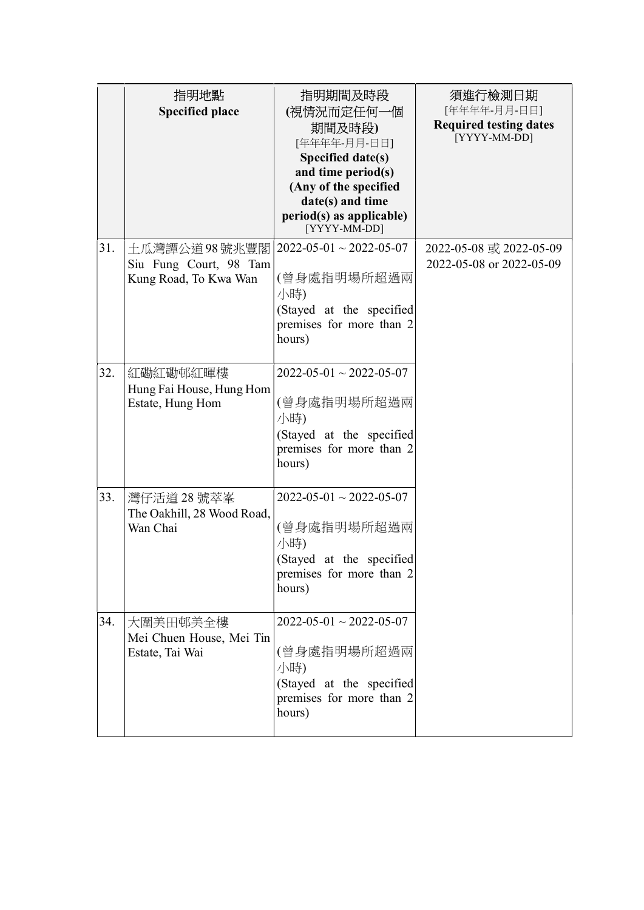|     | 指明地點<br><b>Specified place</b>                                    | 指明期間及時段<br>(視情況而定任何一個<br>期間及時段)<br>[年年年年-月月-日日]<br>Specified date(s)<br>and time period(s)<br>(Any of the specified<br>date(s) and time<br>period(s) as applicable)<br>[YYYY-MM-DD] | 須進行檢測日期<br>[年年年年-月月-日日]<br><b>Required testing dates</b><br>[YYYY-MM-DD] |
|-----|-------------------------------------------------------------------|-------------------------------------------------------------------------------------------------------------------------------------------------------------------------------------|--------------------------------------------------------------------------|
| 31. | 土瓜灣譚公道 98 號兆豐閣<br>Siu Fung Court, 98 Tam<br>Kung Road, To Kwa Wan | $2022 - 05 - 01 \sim 2022 - 05 - 07$<br>(曾身處指明場所超過兩<br>小時)<br>(Stayed at the specified<br>premises for more than 2<br>hours)                                                        | 2022-05-08 或 2022-05-09<br>2022-05-08 or 2022-05-09                      |
| 32. | 紅磡紅磡邨紅暉樓<br>Hung Fai House, Hung Hom<br>Estate, Hung Hom          | $2022 - 05 - 01 \sim 2022 - 05 - 07$<br>(曾身處指明場所超過兩<br>小時)<br>(Stayed at the specified<br>premises for more than 2<br>hours)                                                        |                                                                          |
| 33. | 灣仔活道 28 號萃峯<br>The Oakhill, 28 Wood Road,<br>Wan Chai             | $2022 - 05 - 01 \sim 2022 - 05 - 07$<br>(曾身處指明場所超過兩<br>小時)<br>(Stayed at the specified<br>premises for more than 2<br>hours)                                                        |                                                                          |
| 34. | 大圍美田邨美全樓<br>Mei Chuen House, Mei Tin<br>Estate, Tai Wai           | $2022 - 05 - 01 \sim 2022 - 05 - 07$<br>(曾身處指明場所超過兩<br>小時)<br>(Stayed at the specified<br>premises for more than 2<br>hours)                                                        |                                                                          |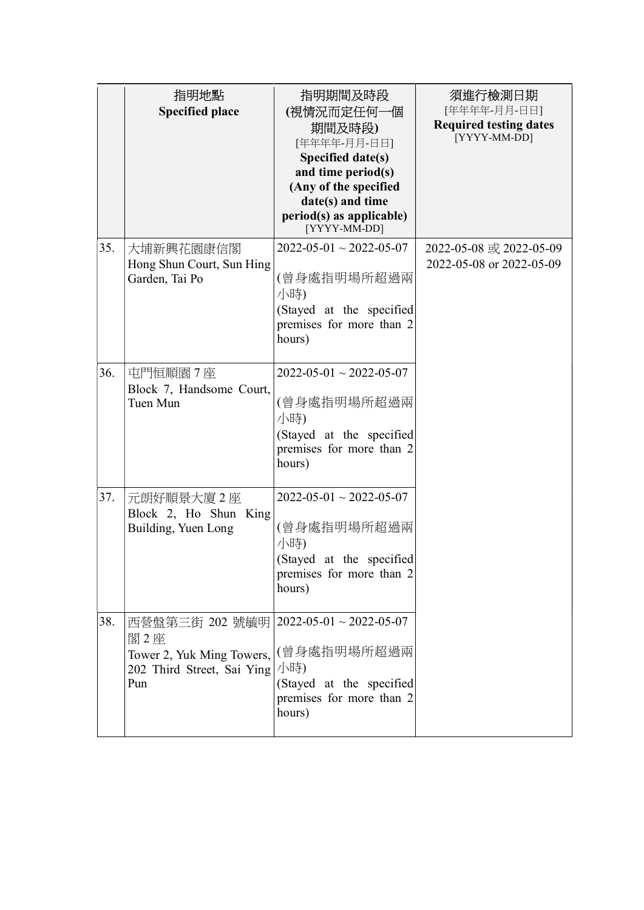|     | 指明地點<br><b>Specified place</b>                                                           | 指明期間及時段<br>(視情況而定任何一個<br>期間及時段)<br>[年年年年-月月-日日]<br>Specified date(s)<br>and time period(s)<br>(Any of the specified<br>date(s) and time<br>period(s) as applicable)<br>[YYYY-MM-DD] | 須進行檢測日期<br>[年年年年-月月-日日]<br><b>Required testing dates</b><br>[YYYY-MM-DD] |
|-----|------------------------------------------------------------------------------------------|-------------------------------------------------------------------------------------------------------------------------------------------------------------------------------------|--------------------------------------------------------------------------|
| 35. | 大埔新興花園康信閣<br>Hong Shun Court, Sun Hing<br>Garden, Tai Po                                 | $2022 - 05 - 01 \sim 2022 - 05 - 07$<br>(曾身處指明場所超過兩<br>小時)<br>(Stayed at the specified<br>premises for more than 2<br>hours)                                                        | 2022-05-08 或 2022-05-09<br>2022-05-08 or 2022-05-09                      |
| 36. | 屯門恒順園7座<br>Block 7, Handsome Court,<br>Tuen Mun                                          | $2022 - 05 - 01 \sim 2022 - 05 - 07$<br>(曾身處指明場所超過兩<br>小時)<br>(Stayed at the specified<br>premises for more than 2<br>hours)                                                        |                                                                          |
| 37. | 元朗好順景大廈2座<br>Block 2, Ho Shun King<br>Building, Yuen Long                                | $2022 - 05 - 01 \sim 2022 - 05 - 07$<br>(曾身處指明場所超過兩<br>小時)<br>(Stayed at the specified<br>premises for more than 2<br>hours)                                                        |                                                                          |
| 38. | 西營盤第三街 202 號毓明 <br>閣2座<br>Tower 2, Yuk Ming Towers,<br>202 Third Street, Sai Ying<br>Pun | $2022 - 05 - 01 \sim 2022 - 05 - 07$<br>(曾身處指明場所超過兩<br>小時)<br>(Stayed at the specified<br>premises for more than 2<br>hours)                                                        |                                                                          |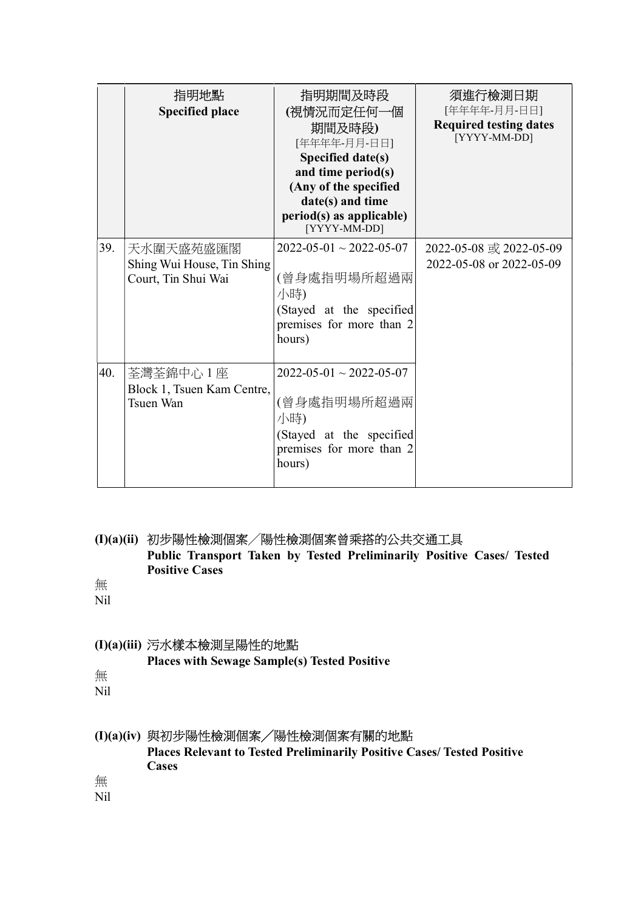|     | 指明地點<br><b>Specified place</b>                                 | 指明期間及時段<br>(視情況而定任何一個<br>期間及時段)<br>[年年年年-月月-日日]<br>Specified date(s)<br>and time period(s)<br>(Any of the specified<br>date(s) and time<br>period(s) as applicable)<br>[YYYY-MM-DD] | 須進行檢測日期<br>[年年年年-月月-日日]<br><b>Required testing dates</b><br>[YYYY-MM-DD] |
|-----|----------------------------------------------------------------|-------------------------------------------------------------------------------------------------------------------------------------------------------------------------------------|--------------------------------------------------------------------------|
| 39. | 天水圍天盛苑盛匯閣<br>Shing Wui House, Tin Shing<br>Court, Tin Shui Wai | $2022 - 05 - 01 \sim 2022 - 05 - 07$<br>(曾身處指明場所超過兩<br>小時)<br>(Stayed at the specified<br>premises for more than 2<br>hours)                                                        | 2022-05-08 或 2022-05-09<br>2022-05-08 or 2022-05-09                      |
| 40. | 荃灣荃錦中心 1 座<br>Block 1, Tsuen Kam Centre,<br>Tsuen Wan          | $2022 - 05 - 01 \sim 2022 - 05 - 07$<br>(曾身處指明場所超過兩<br>小時)<br>(Stayed at the specified<br>premises for more than 2<br>hours)                                                        |                                                                          |

#### (I)(a)(ii) 初步陽性檢測個案╱陽性檢測個案曾乘搭的公共交通工具 Public Transport Taken by Tested Preliminarily Positive Cases/ Tested

Positive Cases

無 Nil

#### (I)(a)(iii) 污水樣本檢測呈陽性的地點

Places with Sewage Sample(s) Tested Positive

無

Nil

#### (I)(a)(iv) 與初步陽性檢測個案╱陽性檢測個案有關的地點

Places Relevant to Tested Preliminarily Positive Cases/ Tested Positive **Cases** 

無

Nil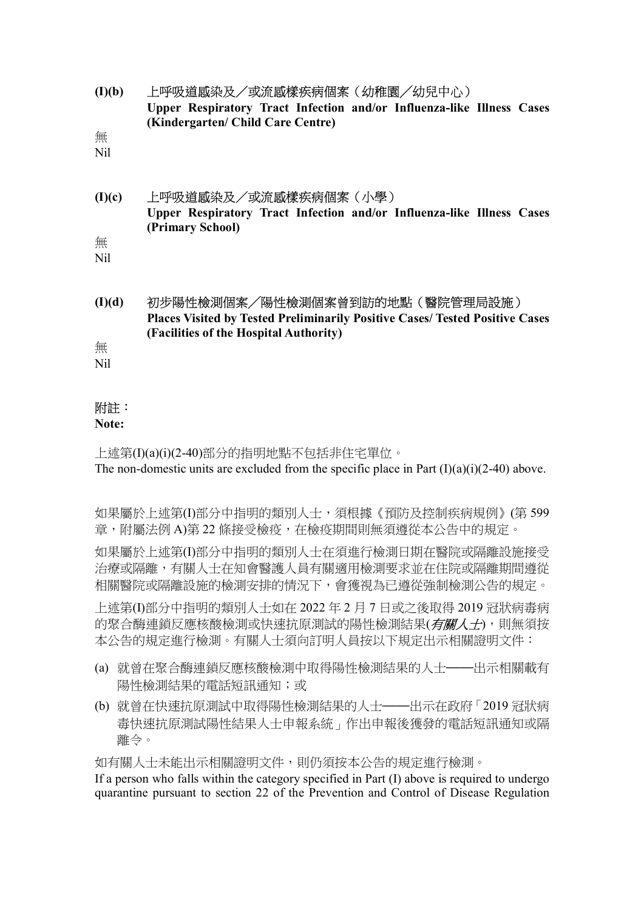(I)(b) 上呼吸道感染及/或流感樣疾病個案(幼稚園╱幼兒中心) Upper Respiratory Tract Infection and/or Influenza-like Illness Cases (Kindergarten/ Child Care Centre)

無

Nil

# (I)(c) 上呼吸道感染及/或流感樣疾病個案(小學) Upper Respiratory Tract Infection and/or Influenza-like Illness Cases (Primary School)

無 Nil

(I)(d) 初步陽性檢測個案╱陽性檢測個案曾到訪的地點(醫院管理局設施) Places Visited by Tested Preliminarily Positive Cases/ Tested Positive Cases (Facilities of the Hospital Authority)

無

Nil

## 附註:

#### Note:

上述第(I)(a)(i)(2-40)部分的指明地點不包括非住宅單位。 The non-domestic units are excluded from the specific place in Part  $(I)(a)(i)(2-40)$  above.

如果屬於上述第(I)部分中指明的類別人士,須根據《預防及控制疾病規例》(第 599 章,附屬法例 A)第 22 條接受檢疫,在檢疫期間則無須遵從本公告中的規定。

如果屬於上述第(I)部分中指明的類別人士在須進行檢測日期在醫院或隔離設施接受 治療或隔離,有關人士在知會醫護人員有關適用檢測要求並在住院或隔離期間遵從 相關醫院或隔離設施的檢測安排的情況下,會獲視為已遵從強制檢測公告的規定。

上述第(I)部分中指明的類別人士如在 2022 年 2 月 7 日或之後取得 2019 冠狀病毒病 的聚合酶連鎖反應核酸檢測或快速抗原測試的陽性檢測結果(有關人士),則無須按 本公告的規定進行檢測。有關人士須向訂明人員按以下規定出示相關證明文件:

- (a) 就曾在聚合酶連鎖反應核酸檢測中取得陽性檢測結果的人士——出示相關載有 陽性檢測結果的電話短訊通知;或
- (b) 就曾在快速抗原測試中取得陽性檢測結果的人士——出示在政府「2019 冠狀病 毒快速抗原測試陽性結果人士申報系統」作出申報後獲發的電話短訊通知或隔 離令。

如有關人士未能出示相關證明文件,則仍須按本公告的規定進行檢測。

If a person who falls within the category specified in Part (I) above is required to undergo quarantine pursuant to section 22 of the Prevention and Control of Disease Regulation